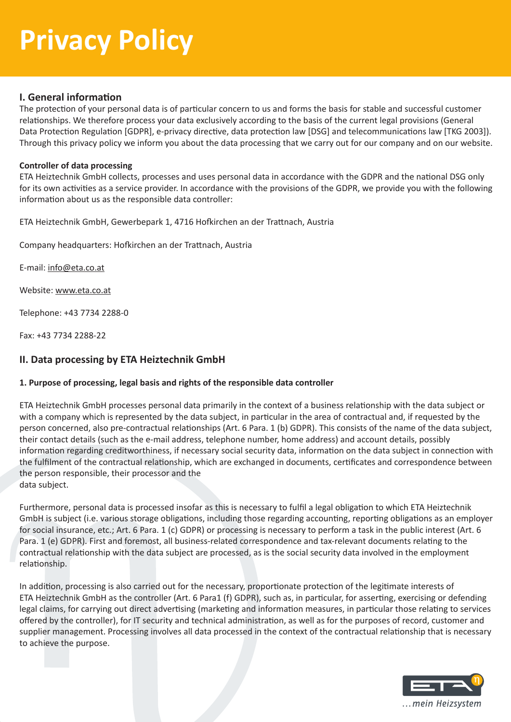## **I. General information**

The protection of your personal data is of particular concern to us and forms the basis for stable and successful customer relationships. We therefore process your data exclusively according to the basis of the current legal provisions (General Data Protection Regulation [GDPR], e-privacy directive, data protection law [DSG] and telecommunications law [TKG 2003]). Through this privacy policy we inform you about the data processing that we carry out for our company and on our website.

### **Controller of data processing**

ETA Heiztechnik GmbH collects, processes and uses personal data in accordance with the GDPR and the national DSG only for its own activities as a service provider. In accordance with the provisions of the GDPR, we provide you with the following information about us as the responsible data controller:

ETA Heiztechnik GmbH, Gewerbepark 1, 4716 Hofkirchen an der Trattnach, Austria

Company headquarters: Hofkirchen an der Trattnach, Austria

E-mail: info@eta.co.at

Website: www.eta.co.at

Telephone: +43 7734 2288-0

Fax: +43 7734 2288-22

## **II. Data processing by ETA Heiztechnik GmbH**

### **1. Purpose of processing, legal basis and rights of the responsible data controller**

ETA Heiztechnik GmbH processes personal data primarily in the context of a business relationship with the data subject or with a company which is represented by the data subject, in particular in the area of contractual and, if requested by the person concerned, also pre-contractual relationships (Art. 6 Para. 1 (b) GDPR). This consists of the name of the data subject, their contact details (such as the e-mail address, telephone number, home address) and account details, possibly information regarding creditworthiness, if necessary social security data, information on the data subject in connection with the fulfilment of the contractual relationship, which are exchanged in documents, certificates and correspondence between the person responsible, their processor and the data subject.

Furthermore, personal data is processed insofar as this is necessary to fulfil a legal obligation to which ETA Heiztechnik GmbH is subject (i.e. various storage obligations, including those regarding accounting, reporting obligations as an employer for social insurance, etc.; Art. 6 Para. 1 (c) GDPR) or processing is necessary to perform a task in the public interest (Art. 6 Para. 1 (e) GDPR). First and foremost, all business-related correspondence and tax-relevant documents relating to the contractual relationship with the data subject are processed, as is the social security data involved in the employment relationship.

In addition, processing is also carried out for the necessary, proportionate protection of the legitimate interests of ETA Heiztechnik GmbH as the controller (Art. 6 Para1 (f) GDPR), such as, in particular, for asserting, exercising or defending legal claims, for carrying out direct advertising (marketing and information measures, in particular those relating to services offered by the controller), for IT security and technical administration, as well as for the purposes of record, customer and supplier management. Processing involves all data processed in the context of the contractual relationship that is necessary to achieve the purpose.

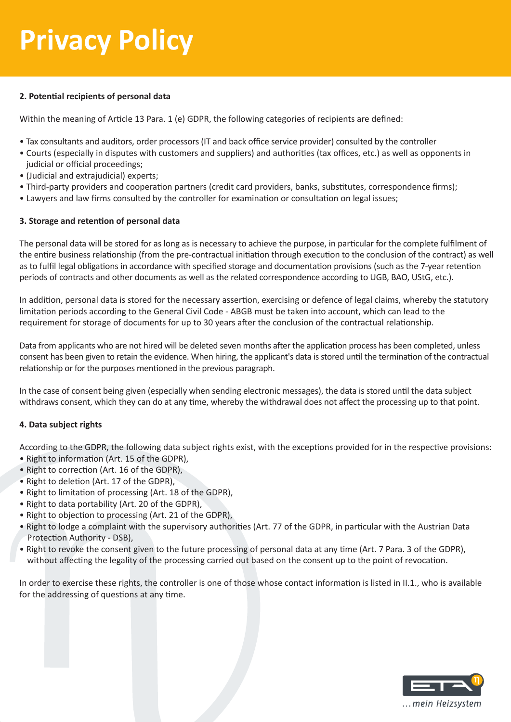### **2. Potential recipients of personal data**

Within the meaning of Article 13 Para. 1 (e) GDPR, the following categories of recipients are defined:

- Tax consultants and auditors, order processors (IT and back office service provider) consulted by the controller
- Courts (especially in disputes with customers and suppliers) and authorities (tax offices, etc.) as well as opponents in judicial or official proceedings;
- (Judicial and extrajudicial) experts;
- Third-party providers and cooperation partners (credit card providers, banks, substitutes, correspondence firms);
- Lawyers and law firms consulted by the controller for examination or consultation on legal issues;

### **3. Storage and retention of personal data**

The personal data will be stored for as long as is necessary to achieve the purpose, in particular for the complete fulfilment of the entire business relationship (from the pre-contractual initiation through execution to the conclusion of the contract) as well as to fulfil legal obligations in accordance with specified storage and documentation provisions (such as the 7-year retention periods of contracts and other documents as well as the related correspondence according to UGB, BAO, UStG, etc.).

In addition, personal data is stored for the necessary assertion, exercising or defence of legal claims, whereby the statutory limitation periods according to the General Civil Code - ABGB must be taken into account, which can lead to the requirement for storage of documents for up to 30 years after the conclusion of the contractual relationship.

Data from applicants who are not hired will be deleted seven months after the application process has been completed, unless consent has been given to retain the evidence. When hiring, the applicant's data is stored until the termination of the contractual relationship or for the purposes mentioned in the previous paragraph.

In the case of consent being given (especially when sending electronic messages), the data is stored until the data subject withdraws consent, which they can do at any time, whereby the withdrawal does not affect the processing up to that point.

### **4. Data subject rights**

According to the GDPR, the following data subject rights exist, with the exceptions provided for in the respective provisions:

- Right to information (Art. 15 of the GDPR),
- Right to correction (Art. 16 of the GDPR),
- Right to deletion (Art. 17 of the GDPR),
- Right to limitation of processing (Art. 18 of the GDPR),
- Right to data portability (Art. 20 of the GDPR),
- Right to objection to processing (Art. 21 of the GDPR),
- Right to lodge a complaint with the supervisory authorities (Art. 77 of the GDPR, in particular with the Austrian Data Protection Authority - DSB),
- Right to revoke the consent given to the future processing of personal data at any time (Art. 7 Para. 3 of the GDPR), without affecting the legality of the processing carried out based on the consent up to the point of revocation.

In order to exercise these rights, the controller is one of those whose contact information is listed in II.1., who is available for the addressing of questions at any time.

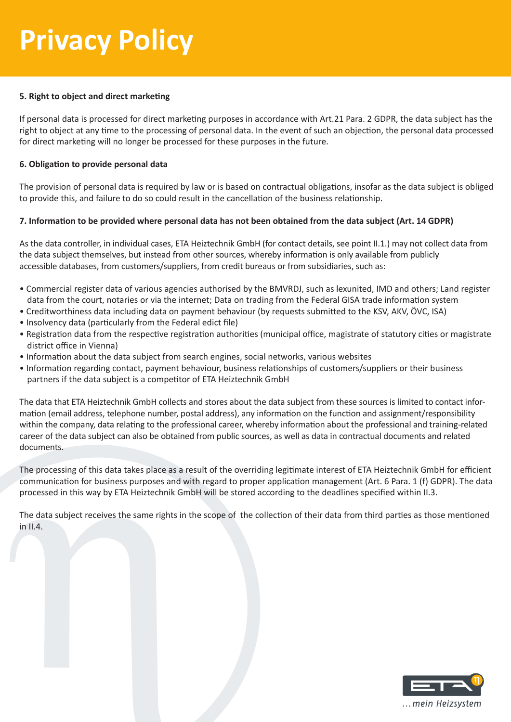### **5. Right to object and direct marketing**

If personal data is processed for direct marketing purposes in accordance with Art.21 Para. 2 GDPR, the data subject has the right to object at any time to the processing of personal data. In the event of such an objection, the personal data processed for direct marketing will no longer be processed for these purposes in the future.

### **6. Obligation to provide personal data**

The provision of personal data is required by law or is based on contractual obligations, insofar as the data subject is obliged to provide this, and failure to do so could result in the cancellation of the business relationship.

### **7. Information to be provided where personal data has not been obtained from the data subject (Art. 14 GDPR)**

As the data controller, in individual cases, ETA Heiztechnik GmbH (for contact details, see point II.1.) may not collect data from the data subject themselves, but instead from other sources, whereby information is only available from publicly accessible databases, from customers/suppliers, from credit bureaus or from subsidiaries, such as:

- Commercial register data of various agencies authorised by the BMVRDJ, such as lexunited, IMD and others; Land register data from the court, notaries or via the internet; Data on trading from the Federal GISA trade information system
- Creditworthiness data including data on payment behaviour (by requests submitted to the KSV, AKV, ÖVC, ISA)
- Insolvency data (particularly from the Federal edict file)
- Registration data from the respective registration authorities (municipal office, magistrate of statutory cities or magistrate district office in Vienna)
- Information about the data subject from search engines, social networks, various websites
- Information regarding contact, payment behaviour, business relationships of customers/suppliers or their business partners if the data subject is a competitor of ETA Heiztechnik GmbH

The data that ETA Heiztechnik GmbH collects and stores about the data subject from these sources is limited to contact information (email address, telephone number, postal address), any information on the function and assignment/responsibility within the company, data relating to the professional career, whereby information about the professional and training-related career of the data subject can also be obtained from public sources, as well as data in contractual documents and related documents.

The processing of this data takes place as a result of the overriding legitimate interest of ETA Heiztechnik GmbH for efficient communication for business purposes and with regard to proper application management (Art. 6 Para. 1 (f) GDPR). The data processed in this way by ETA Heiztechnik GmbH will be stored according to the deadlines specified within II.3.

The data subject receives the same rights in the scope of the collection of their data from third parties as those mentioned in II.4.

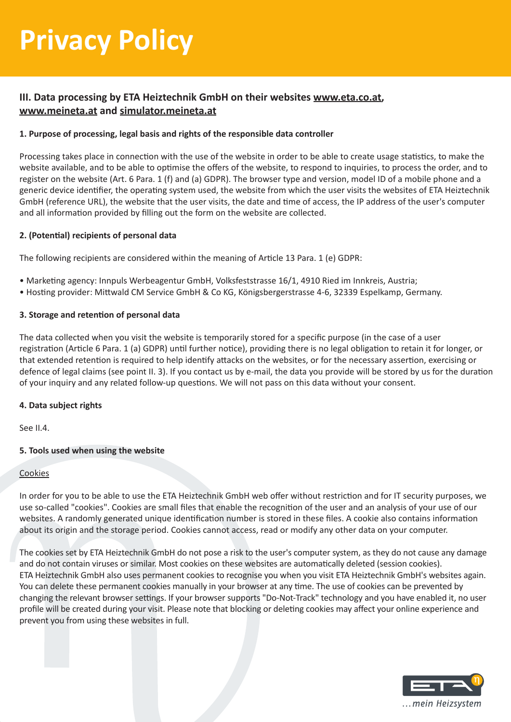## **III. Data processing by ETA Heiztechnik GmbH on their websites www.eta.co.at, www.meineta.at and simulator.meineta.at**

### **1. Purpose of processing, legal basis and rights of the responsible data controller**

Processing takes place in connection with the use of the website in order to be able to create usage statistics, to make the website available, and to be able to optimise the offers of the website, to respond to inquiries, to process the order, and to register on the website (Art. 6 Para. 1 (f) and (a) GDPR). The browser type and version, model ID of a mobile phone and a generic device identifier, the operating system used, the website from which the user visits the websites of ETA Heiztechnik GmbH (reference URL), the website that the user visits, the date and time of access, the IP address of the user's computer and all information provided by filling out the form on the website are collected.

### **2. (Potential) recipients of personal data**

The following recipients are considered within the meaning of Article 13 Para. 1 (e) GDPR:

- Marketing agency: Innpuls Werbeagentur GmbH, Volksfeststrasse 16/1, 4910 Ried im Innkreis, Austria;
- Hosting provider: Mittwald CM Service GmbH & Co KG, Königsbergerstrasse 4-6, 32339 Espelkamp, Germany.

### **3. Storage and retention of personal data**

The data collected when you visit the website is temporarily stored for a specific purpose (in the case of a user registration (Article 6 Para. 1 (a) GDPR) until further notice), providing there is no legal obligation to retain it for longer, or that extended retention is required to help identify attacks on the websites, or for the necessary assertion, exercising or defence of legal claims (see point II. 3). If you contact us by e-mail, the data you provide will be stored by us for the duration of your inquiry and any related follow-up questions. We will not pass on this data without your consent.

### **4. Data subject rights**

See II.4.

### **5. Tools used when using the website**

### Cookies

In order for you to be able to use the ETA Heiztechnik GmbH web offer without restriction and for IT security purposes, we use so-called "cookies". Cookies are small files that enable the recognition of the user and an analysis of your use of our websites. A randomly generated unique identification number is stored in these files. A cookie also contains information about its origin and the storage period. Cookies cannot access, read or modify any other data on your computer.

The cookies set by ETA Heiztechnik GmbH do not pose a risk to the user's computer system, as they do not cause any damage and do not contain viruses or similar. Most cookies on these websites are automatically deleted (session cookies). ETA Heiztechnik GmbH also uses permanent cookies to recognise you when you visit ETA Heiztechnik GmbH's websites again. You can delete these permanent cookies manually in your browser at any time. The use of cookies can be prevented by changing the relevant browser settings. If your browser supports "Do-Not-Track" technology and you have enabled it, no user profile will be created during your visit. Please note that blocking or deleting cookies may affect your online experience and prevent you from using these websites in full.

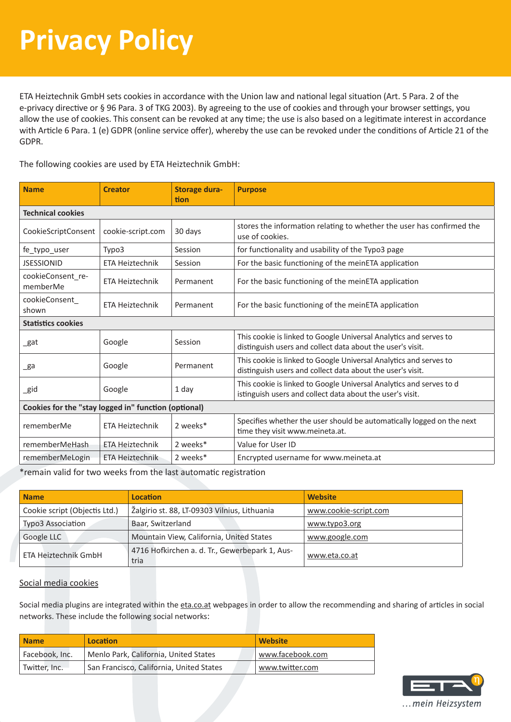ETA Heiztechnik GmbH sets cookies in accordance with the Union law and national legal situation (Art. 5 Para. 2 of the e-privacy directive or § 96 Para. 3 of TKG 2003). By agreeing to the use of cookies and through your browser settings, you allow the use of cookies. This consent can be revoked at any time; the use is also based on a legitimate interest in accordance with Article 6 Para. 1 (e) GDPR (online service offer), whereby the use can be revoked under the conditions of Article 21 of the GDPR.

The following cookies are used by ETA Heiztechnik GmbH:

| <b>Name</b>                                          | <b>Creator</b>         | <b>Storage dura-</b><br>tion | <b>Purpose</b>                                                                                                                   |  |  |  |
|------------------------------------------------------|------------------------|------------------------------|----------------------------------------------------------------------------------------------------------------------------------|--|--|--|
| <b>Technical cookies</b>                             |                        |                              |                                                                                                                                  |  |  |  |
| CookieScriptConsent                                  | cookie-script.com      | 30 days                      | stores the information relating to whether the user has confirmed the<br>use of cookies.                                         |  |  |  |
| fe_typo_user                                         | Typo3                  | Session                      | for functionality and usability of the Typo3 page                                                                                |  |  |  |
| <b>JSESSIONID</b>                                    | <b>ETA Heiztechnik</b> | Session                      | For the basic functioning of the meinETA application                                                                             |  |  |  |
| cookieConsent re-<br>memberMe                        | ETA Heiztechnik        | Permanent                    | For the basic functioning of the meinETA application                                                                             |  |  |  |
| cookieConsent<br>shown                               | ETA Heiztechnik        | Permanent                    | For the basic functioning of the meinETA application                                                                             |  |  |  |
| <b>Statistics cookies</b>                            |                        |                              |                                                                                                                                  |  |  |  |
| _gat                                                 | Google                 | Session                      | This cookie is linked to Google Universal Analytics and serves to<br>distinguish users and collect data about the user's visit.  |  |  |  |
| _ga                                                  | Google                 | Permanent                    | This cookie is linked to Google Universal Analytics and serves to<br>distinguish users and collect data about the user's visit.  |  |  |  |
| _gid                                                 | Google                 | 1 day                        | This cookie is linked to Google Universal Analytics and serves to d<br>istinguish users and collect data about the user's visit. |  |  |  |
| Cookies for the "stay logged in" function (optional) |                        |                              |                                                                                                                                  |  |  |  |
| rememberMe                                           | ETA Heiztechnik        | 2 weeks*                     | Specifies whether the user should be automatically logged on the next<br>time they visit www.meineta.at.                         |  |  |  |
| rememberMeHash                                       | <b>ETA Heiztechnik</b> | 2 weeks*                     | Value for User ID                                                                                                                |  |  |  |
| rememberMeLogin                                      | ETA Heiztechnik        | 2 weeks*                     | Encrypted username for www.meineta.at                                                                                            |  |  |  |

\*remain valid for two weeks from the last automatic registration

| <b>Name</b>                   | Location                                               | <b>Website</b>        |
|-------------------------------|--------------------------------------------------------|-----------------------|
| Cookie script (Objectis Ltd.) | Žalgirio st. 88, LT-09303 Vilnius, Lithuania           | www.cookie-script.com |
| Typo3 Association             | Baar, Switzerland                                      | www.typo3.org         |
| Google LLC                    | Mountain View, California, United States               | www.google.com        |
| ETA Heiztechnik GmbH          | 4716 Hofkirchen a. d. Tr., Gewerbepark 1, Aus-<br>tria | www.eta.co.at         |

### Social media cookies

Social media plugins are integrated within the eta.co.at webpages in order to allow the recommending and sharing of articles in social networks. These include the following social networks:

| <b>Name</b>    | Location                                 | <b>Website</b>   |
|----------------|------------------------------------------|------------------|
| Facebook, Inc. | Menlo Park, California, United States    | www.facebook.com |
| Twitter, Inc.  | San Francisco, California, United States | www.twitter.com  |

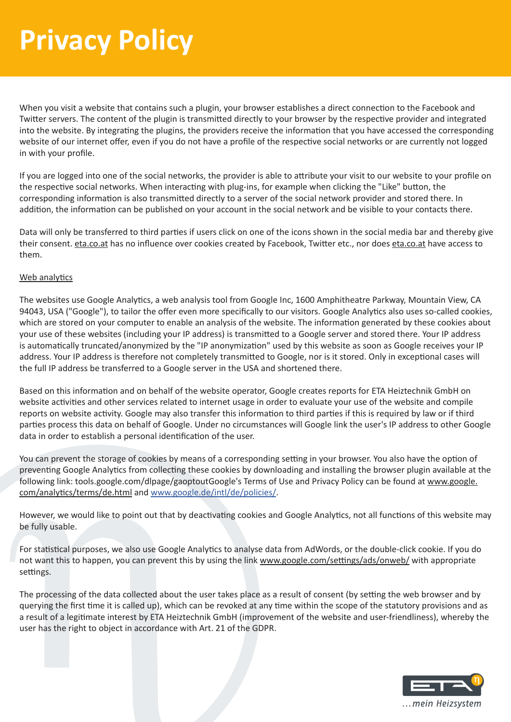When you visit a website that contains such a plugin, your browser establishes a direct connection to the Facebook and Twitter servers. The content of the plugin is transmitted directly to your browser by the respective provider and integrated into the website. By integrating the plugins, the providers receive the information that you have accessed the corresponding website of our internet offer, even if you do not have a profile of the respective social networks or are currently not logged in with your profile.

If you are logged into one of the social networks, the provider is able to attribute your visit to our website to your profile on the respective social networks. When interacting with plug-ins, for example when clicking the "Like" button, the corresponding information is also transmitted directly to a server of the social network provider and stored there. In addition, the information can be published on your account in the social network and be visible to your contacts there.

Data will only be transferred to third parties if users click on one of the icons shown in the social media bar and thereby give their consent. eta.co.at has no influence over cookies created by Facebook, Twitter etc., nor does eta.co.at have access to them.

### Web analytics

The websites use Google Analytics, a web analysis tool from Google Inc, 1600 Amphitheatre Parkway, Mountain View, CA 94043, USA ("Google"), to tailor the offer even more specifically to our visitors. Google Analytics also uses so-called cookies, which are stored on your computer to enable an analysis of the website. The information generated by these cookies about your use of these websites (including your IP address) is transmitted to a Google server and stored there. Your IP address is automatically truncated/anonymized by the "IP anonymization" used by this website as soon as Google receives your IP address. Your IP address is therefore not completely transmitted to Google, nor is it stored. Only in exceptional cases will the full IP address be transferred to a Google server in the USA and shortened there.

Based on this information and on behalf of the website operator, Google creates reports for ETA Heiztechnik GmbH on website activities and other services related to internet usage in order to evaluate your use of the website and compile reports on website activity. Google may also transfer this information to third parties if this is required by law or if third parties process this data on behalf of Google. Under no circumstances will Google link the user's IP address to other Google data in order to establish a personal identification of the user.

You can prevent the storage of cookies by means of a corresponding setting in your browser. You also have the option of preventing Google Analytics from collecting these cookies by downloading and installing the browser plugin available at the following link: tools.google.com/dlpage/gaoptoutGoogle's Terms of Use and Privacy Policy can be found at www.google. com/analytics/terms/de.html and www.google.de/intl/de/policies/.

However, we would like to point out that by deactivating cookies and Google Analytics, not all functions of this website may be fully usable.

For statistical purposes, we also use Google Analytics to analyse data from AdWords, or the double-click cookie. If you do not want this to happen, you can prevent this by using the link www.google.com/settings/ads/onweb/ with appropriate settings.

The processing of the data collected about the user takes place as a result of consent (by setting the web browser and by querying the first time it is called up), which can be revoked at any time within the scope of the statutory provisions and as a result of a legitimate interest by ETA Heiztechnik GmbH (improvement of the website and user-friendliness), whereby the user has the right to object in accordance with Art. 21 of the GDPR.

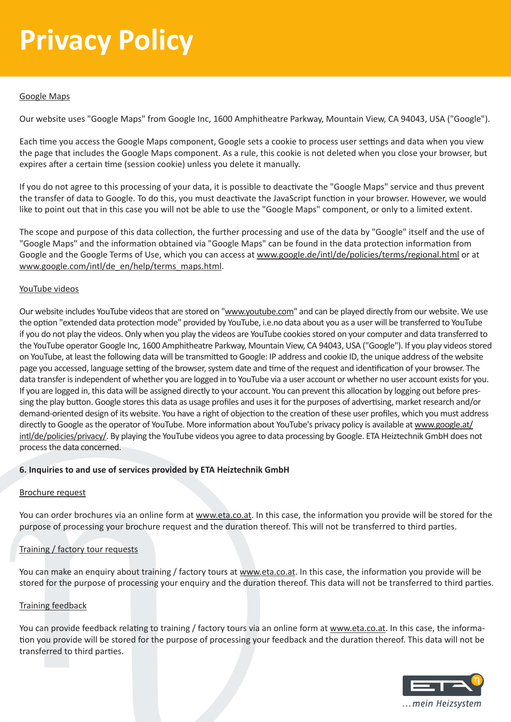### Google Maps

Our website uses "Google Maps" from Google Inc, 1600 Amphitheatre Parkway, Mountain View, CA 94043, USA ("Google").

Each time you access the Google Maps component, Google sets a cookie to process user settings and data when you view the page that includes the Google Maps component. As a rule, this cookie is not deleted when you close your browser, but expires after a certain time (session cookie) unless you delete it manually.

If you do not agree to this processing of your data, it is possible to deactivate the "Google Maps" service and thus prevent the transfer of data to Google. To do this, you must deactivate the JavaScript function in your browser. However, we would like to point out that in this case you will not be able to use the "Google Maps" component, or only to a limited extent.

The scope and purpose of this data collection, the further processing and use of the data by "Google" itself and the use of "Google Maps" and the information obtained via "Google Maps" can be found in the data protection information from Google and the Google Terms of Use, which you can access at www.google.de/intl/de/policies/terms/regional.html or at www.google.com/intl/de\_en/help/terms\_maps.html.

### YouTube videos

Our website includes YouTube videos that are stored on "www.youtube.com" and can be played directly from our website. We use the option "extended data protection mode" provided by YouTube, i.e.no data about you as a user will be transferred to YouTube if you do not play the videos. Only when you play the videos are YouTube cookies stored on your computer and data transferred to the YouTube operator Google Inc, 1600 Amphitheatre Parkway, Mountain View, CA 94043, USA ("Google"). If you play videos stored on YouTube, at least the following data will be transmitted to Google: IP address and cookie ID, the unique address of the website page you accessed, language setting of the browser, system date and time of the request and identification of your browser. The data transfer is independent of whether you are logged in to YouTube via a user account or whether no user account exists for you. If you are logged in, this data will be assigned directly to your account. You can prevent this allocation by logging out before pressing the play button. Google stores this data as usage profiles and uses it for the purposes of advertising, market research and/or demand-oriented design of its website. You have a right of objection to the creation of these user profiles, which you must address directly to Google as the operator of YouTube. More information about YouTube's privacy policy is available at www.google.at/ intl/de/policies/privacy/. By playing the YouTube videos you agree to data processing by Google. ETA Heiztechnik GmbH does not process the data concerned.

### **6. Inquiries to and use of services provided by ETA Heiztechnik GmbH**

### Brochure request

You can order brochures via an online form at www.eta.co.at. In this case, the information you provide will be stored for the purpose of processing your brochure request and the duration thereof. This will not be transferred to third parties.

### Training / factory tour requests

You can make an enquiry about training / factory tours at www.eta.co.at. In this case, the information you provide will be stored for the purpose of processing your enquiry and the duration thereof. This data will not be transferred to third parties.

### Training feedback

You can provide feedback relating to training / factory tours via an online form at www.eta.co.at. In this case, the information you provide will be stored for the purpose of processing your feedback and the duration thereof. This data will not be transferred to third parties.